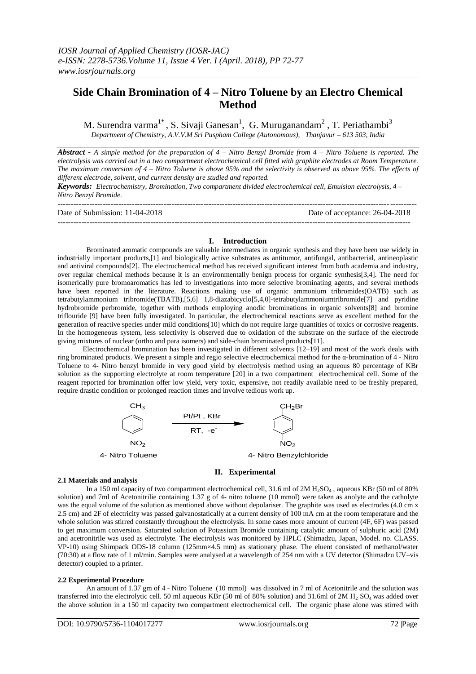# **Side Chain Bromination of 4 – Nitro Toluene by an Electro Chemical Method**

M. Surendra varma<sup>1\*</sup>, S. Sivaji Ganesan<sup>1</sup>, G. Muruganandam<sup>2</sup>, T. Periathambi<sup>3</sup> *Department of Chemistry, A.V.V.M Sri Puspham College (Autonomous), Thanjavur – 613 503, India*

*Abstract - A simple method for the preparation of 4 – Nitro Benzyl Bromide from 4 – Nitro Toluene is reported. The electrolysis was carried out in a two compartment electrochemical cell fitted with graphite electrodes at Room Temperature. The maximum conversion of 4 – Nitro Toluene is above 95% and the selectivity is observed as above 95%. The effects of different electrode, solvent, and current density are studied and reported.*

*Keywords: Electrochemistry, Bromination, Two compartment divided electrochemical cell, Emulsion electrolysis, 4 – Nitro Benzyl Bromide.*

--------------------------------------------------------------------------------------------------------------------------------------- Date of Submission: 11-04-2018 Date of acceptance: 26-04-2018

-------------------------------------------------------------------------------------------------------------------------------------

## **I. Introduction**

Brominated aromatic compounds are valuable intermediates in organic synthesis and they have been use widely in industrially important products,[1] and biologically active substrates as antitumor, antifungal, antibacterial, antineoplastic and antiviral compounds[2]. The electrochemical method has received significant interest from both academia and industry, over regular chemical methods because it is an environmentally benign process for organic synthesis[3,4]. The need for isomerically pure bromoaromatics has led to investigations into more selective brominating agents, and several methods have been reported in the literature. Reactions making use of organic ammonium tribromides(OATB) such as tetrabutylammonium tribromide(TBATB),[5,6] 1,8-diazabicyclo[5,4,0]-tetrabutylammoniumtribromide[7] and pyridine hydrobromide perbromide, together with methods employing anodic brominations in organic solvents[8] and bromine triflouride [9] have been fully investigated. In particular, the electrochemical reactions serve as excellent method for the generation of reactive species under mild conditions[10] which do not require large quantities of toxics or corrosive reagents. In the homogeneous system, less selectivity is observed due to oxidation of the substrate on the surface of the electrode giving mixtures of nuclear (ortho and para isomers) and side-chain brominated products[11].

 Electrochemical bromination has been investigated in different solvents [12–19] and most of the work deals with ring brominated products. We present a simple and regio selective electrochemical method for the α-bromination of 4 - Nitro Toluene to 4- Nitro benzyl bromide in very good yield by electrolysis method using an aqueous 80 percentage of KBr solution as the supporting electrolyte at room temperature [20] in a two compartment electrochemical cell. Some of the reagent reported for bromination offer low yield, very toxic, expensive, not readily available need to be freshly prepared, require drastic condition or prolonged reaction times and involve tedious work up.



## **II. Experimental**

### **2.1 Materials and analysis**

In a 150 ml capacity of two compartment electrochemical cell, 31.6 ml of 2M H<sub>2</sub>SO<sub>4</sub>, aqueous KBr (50 ml of 80% solution) and 7ml of Acetonitrilie containing 1.37 g of 4- nitro toluene (10 mmol) were taken as anolyte and the catholyte was the equal volume of the solution as mentioned above without depolariser. The graphite was used as electrodes (4.0 cm x 2.5 cm) and 2F of electricity was passed galvanostatically at a current density of 100 mA cm at the room temperature and the whole solution was stirred constantly throughout the electrolysis. In some cases more amount of current (4F, 6F) was passed to get maximum conversion. Saturated solution of Potassium Bromide containing catalytic amount of sulphuric acid (2M) and acetronitrile was used as electrolyte. The electrolysis was monitored by HPLC (Shimadzu, Japan, Model. no. CLASS. VP-10) using Shimpack ODS-18 column (125mm×4.5 mm) as stationary phase. The eluent consisted of methanol/water (70:30) at a flow rate of 1 ml/min. Samples were analysed at a wavelength of 254 nm with a UV detector (Shimadzu UV–vis detector) coupled to a printer.

### **2.2 Experimental Procedure**

An amount of 1.37 gm of 4 - Nitro Toluene (10 mmol) was dissolved in 7 ml of Acetonitrile and the solution was transferred into the electrolytic cell. 50 ml aqueous KBr (50 ml of 80% solution) and 31.6ml of 2M  $H_2$  SO<sub>4</sub> was added over the above solution in a 150 ml capacity two compartment electrochemical cell. The organic phase alone was stirred with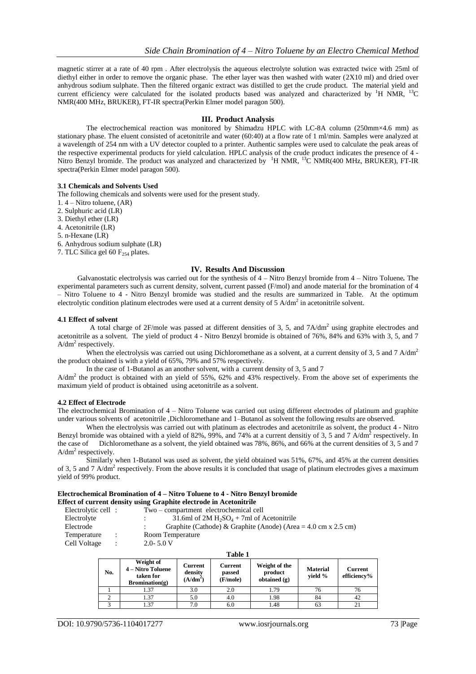magnetic stirrer at a rate of 40 rpm . After electrolysis the aqueous electrolyte solution was extracted twice with 25ml of diethyl either in order to remove the organic phase. The ether layer was then washed with water (2X10 ml) and dried over anhydrous sodium sulphate. Then the filtered organic extract was distilled to get the crude product. The material yield and current efficiency were calculated for the isolated products based was analyzed and characterized by <sup>1</sup>H NMR, <sup>13</sup>C NMR(400 MHz, BRUKER), FT-IR spectra(Perkin Elmer model paragon 500).

### **III. Product Analysis**

The electrochemical reaction was monitored by Shimadzu HPLC with LC-8A column (250mm×4.6 mm) as stationary phase. The eluent consisted of acetonitrile and water (60:40) at a flow rate of 1 ml/min. Samples were analyzed at a wavelength of 254 nm with a UV detector coupled to a printer. Authentic samples were used to calculate the peak areas of the respective experimental products for yield calculation. HPLC analysis of the crude product indicates the presence of 4 - Nitro Benzyl bromide. The product was analyzed and characterized by  $1H NMR$ ,  $13C NMR(400 MHz, BRURER)$ , FT-IR spectra(Perkin Elmer model paragon 500).

### **3.1 Chemicals and Solvents Used**

The following chemicals and solvents were used for the present study.

1. 4 – Nitro toluene, (AR)

2. Sulphuric acid (LR)

3. Diethyl ether (LR)

4. Acetonitrile (LR)

5. n-Hexane (LR)

6. Anhydrous sodium sulphate (LR)

7. TLC Silica gel 60  $F_{254}$  plates.

### **IV. Results And Discussion**

Galvanostatic electrolysis was carried out for the synthesis of 4 – Nitro Benzyl bromide from 4 – Nitro Toluene*.* The experimental parameters such as current density, solvent, current passed (F/mol) and anode material for the bromination of 4 – Nitro Toluene to 4 - Nitro Benzyl bromide was studied and the results are summarized in Table. At the optimum electrolytic condition platinum electrodes were used at a current density of  $5$  A/dm<sup>2</sup> in acetonitrile solvent.

### **4.1 Effect of solvent**

A total charge of 2F/mole was passed at different densities of 3, 5, and  $7A/dm<sup>2</sup>$  using graphite electrodes and acetonitrile as a solvent. The yield of product 4 - Nitro Benzyl bromide is obtained of 76%, 84% and 63% with 3, 5, and 7  $A/dm^2$  respectively.

When the electrolysis was carried out using Dichloromethane as a solvent, at a current density of 3, 5 and 7 A/dm<sup>2</sup> the product obtained is with a yield of 65%, 79% and 57% respectively.

In the case of 1-Butanol as an another solvent, with a current density of 3, 5 and 7

A/dm<sup>2</sup> the product is obtained with an yield of 55%, 62% and 43% respectively. From the above set of experiments the maximum yield of product is obtained using acetonitrile as a solvent.

### **4.2 Effect of Electrode**

The electrochemical Bromination of 4 – Nitro Toluene was carried out using different electrodes of platinum and graphite under various solvents of acetonitrile ,Dichloromethane and 1–Butanol as solvent the following results are observed.

When the electrolysis was carried out with platinum as electrodes and acetonitrile as solvent, the product 4 - Nitro Benzyl bromide was obtained with a yield of 82%, 99%, and 74% at a current densitiy of 3, 5 and 7 A/dm<sup>2</sup> respectively. In the case of Dichloromethane as a solvent, the yield obtained was 78%, 86%, and 66% at the current densities of 3, 5 and 7 A/dm<sup>2</sup> respectively.

 Similarly when 1-Butanol was used as solvent, the yield obtained was 51%, 67%, and 45% at the current densities of 3, 5 and 7 A/dm<sup>2</sup> respectively. From the above results it is concluded that usage of platinum electrodes gives a maximum yield of 99% product.

#### **Electrochemical Bromination of 4 – Nitro Toluene to 4 - Nitro Benzyl bromide Effect of current density using Graphite electrode in Acetonitrile**

| Electrolytic cell : |                      | Two – compartment electrochemical cell                                                 |
|---------------------|----------------------|----------------------------------------------------------------------------------------|
| Electrolyte         |                      | 31.6ml of 2M $H_2SO_4$ + 7ml of Acetonitrile                                           |
| Electrode           |                      | Graphite (Cathode) & Graphite (Anode) (Area = $4.0 \text{ cm} \times 2.5 \text{ cm}$ ) |
| Temperature         | $\ddot{\phantom{a}}$ | Room Temperature                                                                       |
| Cell Voltage        | $\ddot{\phantom{1}}$ | $2.0 - 5.0 V$                                                                          |

|     | Table 1                                                           |                                         |                                      |                                            |                            |                               |  |  |
|-----|-------------------------------------------------------------------|-----------------------------------------|--------------------------------------|--------------------------------------------|----------------------------|-------------------------------|--|--|
| No. | Weight of<br>4 – Nitro Toluene<br>taken for<br>$B combination(g)$ | <b>Current</b><br>density<br>$(A/dm^2)$ | <b>Current</b><br>passed<br>(F/mole) | Weight of the<br>product<br>obtained $(g)$ | <b>Material</b><br>vield % | <b>Current</b><br>efficiency% |  |  |
|     | 1.37                                                              | 3.0                                     | 2.0                                  | 1.79                                       | 76                         | 76                            |  |  |
|     | 1.37                                                              | 5.0                                     | 4.0                                  | 1.98                                       | 84                         | 42                            |  |  |
|     | 1.37                                                              | 7.0                                     | 6.0                                  | 1.48                                       | 63                         |                               |  |  |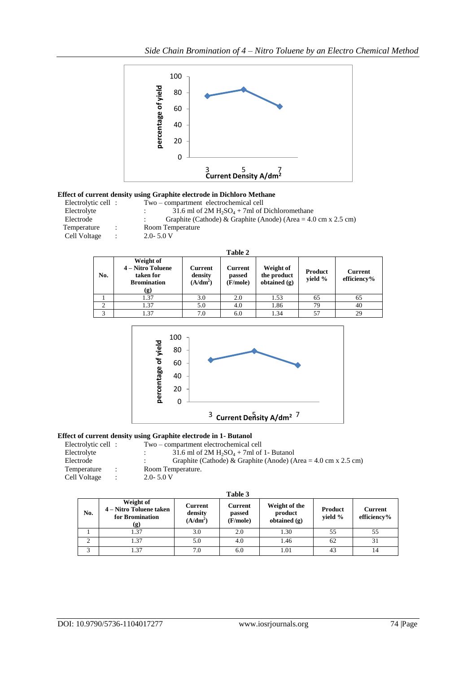

## **Effect of current density using Graphite electrode in Dichloro Methane**

| Electrolytic cell : |   | Two – compartment electrochemical cell                                                 |
|---------------------|---|----------------------------------------------------------------------------------------|
| Electrolyte         |   | 31.6 ml of $2M H_2SO_4 + 7mI$ of Dichloromethane                                       |
| Electrode           |   | Graphite (Cathode) & Graphite (Anode) (Area = $4.0 \text{ cm} \times 2.5 \text{ cm}$ ) |
| Temperature         | ÷ | Room Temperature                                                                       |
| Cell Voltage        | ÷ | $2.0 - 5.0 V$                                                                          |
|                     |   |                                                                                        |
|                     |   |                                                                                        |

|     |                                                                          |                                  | Table 2                              |                                            |                    |                               |
|-----|--------------------------------------------------------------------------|----------------------------------|--------------------------------------|--------------------------------------------|--------------------|-------------------------------|
| No. | Weight of<br>4 – Nitro Toluene<br>taken for<br><b>Bromination</b><br>(g) | Current<br>density<br>$(A/dm^2)$ | <b>Current</b><br>passed<br>(F/mole) | Weight of<br>the product<br>obtained $(g)$ | Product<br>yield % | <b>Current</b><br>efficiency% |
|     | 1.37                                                                     | 3.0                              | 2.0                                  | 1.53                                       | 65                 | 65                            |
|     | 1.37                                                                     | 5.0                              | 4.0                                  | 1.86                                       | 79                 | 40                            |
|     | 1.37                                                                     | 7.0                              | 6.0                                  | 1.34                                       | 57                 | 29                            |



## **Effect of current density using Graphite electrode in 1- Butanol**

|              |                |                     | Two – compartment electrochemical cell                                                 |
|--------------|----------------|---------------------|----------------------------------------------------------------------------------------|
| Electrolyte  |                |                     | 31.6 ml of 2M $H_2SO_4$ + 7ml of 1- Butanol                                            |
| Electrode    |                |                     | Graphite (Cathode) & Graphite (Anode) (Area = $4.0 \text{ cm} \times 2.5 \text{ cm}$ ) |
| Temperature  | $\mathbb{R}^n$ |                     | Room Temperature.                                                                      |
| Cell Voltage | $\cdot$        |                     | $2.0 - 5.0 V$                                                                          |
|              |                | Electrolytic cell : |                                                                                        |

|                |                                                                |                                  | Table 3                       |                                            |                    |                        |
|----------------|----------------------------------------------------------------|----------------------------------|-------------------------------|--------------------------------------------|--------------------|------------------------|
| No.            | Weight of<br>4 – Nitro Toluene taken<br>for Bromination<br>(g) | Current<br>density<br>$(A/dm^2)$ | Current<br>passed<br>(F/mole) | Weight of the<br>product<br>obtained $(g)$ | Product<br>yield % | Current<br>efficiency% |
|                | 1.37                                                           | 3.0                              | 2.0                           | 1.30                                       | 55                 | 55                     |
| $\overline{2}$ | 1.37                                                           | 5.0                              | 4.0                           | 1.46                                       | 62                 | 31                     |
| 3              | 37                                                             | 7.0                              | 6.0                           | 1.01                                       | 43                 | 14                     |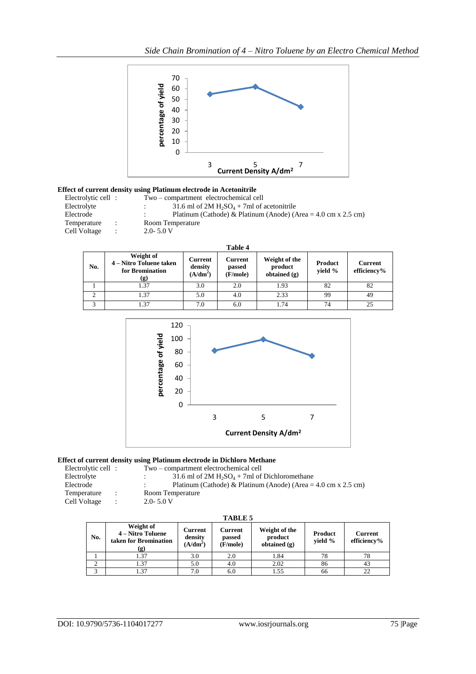

## **Effect of current density using Platinum electrode in Acetonitrile**

| Electrolytic cell:            | Two – compartment electrochemical cell                                                 |
|-------------------------------|----------------------------------------------------------------------------------------|
| Electrolyte                   | 31.6 ml of 2M $H_2SO_4 + 7ml$ of acetonitrile                                          |
| Electrode                     | Platinum (Cathode) & Platinum (Anode) (Area = $4.0 \text{ cm} \times 2.5 \text{ cm}$ ) |
| Temperature<br>$\mathcal{L}$  | Room Temperature                                                                       |
| Cell Voltage<br>$\mathcal{L}$ | $2.0 - 5.0 V$                                                                          |
|                               |                                                                                        |

|     |                                                                |                                            | Table 4                              |                                            |                           |                               |
|-----|----------------------------------------------------------------|--------------------------------------------|--------------------------------------|--------------------------------------------|---------------------------|-------------------------------|
| No. | Weight of<br>4 – Nitro Toluene taken<br>for Bromination<br>(g) | Current<br>density<br>(A/dm <sup>2</sup> ) | <b>Current</b><br>passed<br>(F/mole) | Weight of the<br>product<br>obtained $(g)$ | <b>Product</b><br>yield % | <b>Current</b><br>efficiency% |
|     | 1.37                                                           | 3.0                                        | 2.0                                  | 1.93                                       | 82                        | 82                            |
| 2   | 1.37                                                           | 5.0                                        | 4.0                                  | 2.33                                       | 99                        | 49                            |
| 3   | 1.37                                                           | 7.0                                        | 6.0                                  | 1.74                                       | 74                        | 25                            |



### **Effect of current density using Platinum electrode in Dichloro Methane**

| Electrolytic cell : |  | Two – compartment electrochemical cell |
|---------------------|--|----------------------------------------|
| Electrolyte         |  | 31.6 ml of 2M $H_2SO_4 + 7ml$ of       |

Electrolyte :  $3\overline{1}$ .6 ml of 2M H<sub>2</sub>SO<sub>4</sub> + 7ml of Dichloromethane<br>Electrode : Platinum (Cathode) & Platinum (Anode) (Area =

- 
- 

Temperature : Room Temperature Cell Voltage : 2.0- 5.0 V

## **TABLE 5**

| No. | Weight of<br>4 – Nitro Toluene<br>taken for Bromination<br>(g) | Current<br>density<br>(A/dm <sup>2</sup> ) | Current<br>passed<br>(F/mole) | Weight of the<br>product<br>obtained $(g)$ | Product<br>vield % | Current<br>efficiency% |
|-----|----------------------------------------------------------------|--------------------------------------------|-------------------------------|--------------------------------------------|--------------------|------------------------|
|     | 1.37                                                           | 3.0                                        | 2.0                           | 1.84                                       | 78                 | 78                     |
|     | l.37                                                           | 5.0                                        | 4.0                           | 2.02                                       | 86                 |                        |
|     | .37                                                            | 7.0                                        | 6.0                           | .55                                        | 66                 | 22                     |

Platinum (Cathode) & Platinum (Anode) (Area =  $4.0 \text{ cm} \times 2.5 \text{ cm}$ )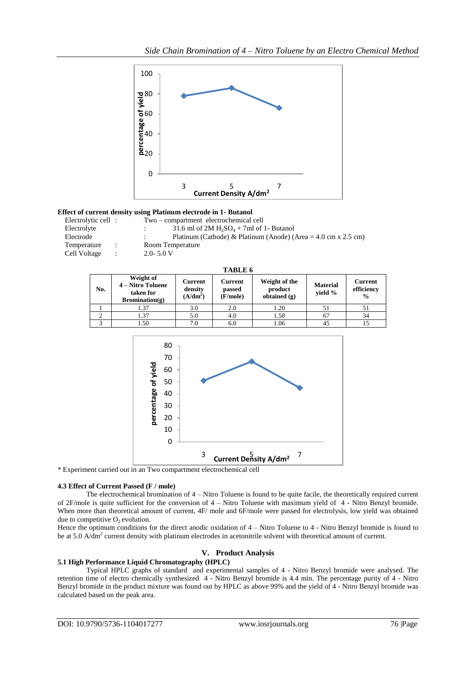

### **Effect of current density using Platinum electrode in 1- Butanol**

| Electrolytic cell: |               | Two – compartment electrochemical cell                         |
|--------------------|---------------|----------------------------------------------------------------|
| Electrolyte        |               | 31.6 ml of 2M $H_2SO_4$ + 7ml of 1- Butanol                    |
| Electrode          |               | Platinum (Cathode) & Platinum (Anode) (Area = 4.0 cm x 2.5 cm) |
| Temperature        | $\mathcal{L}$ | Room Temperature                                               |
| Cell Voltage       | ÷             | $2.0 - 5.0 V$                                                  |

| A BL I<br>п, | n |
|--------------|---|
|--------------|---|

| No. | Weight of<br>4 – Nitro Toluene<br>taken for<br>$B combination(g)$ | Current<br>density<br>$(A/dm^2)$ | Current<br>passed<br>(F/mole) | Weight of the<br>product<br>obtained $(g)$ | <b>Material</b><br>vield % | Current<br>efficiency<br>$\frac{6}{9}$ |
|-----|-------------------------------------------------------------------|----------------------------------|-------------------------------|--------------------------------------------|----------------------------|----------------------------------------|
|     | . 37                                                              | 3.0                              | 2.0                           | 1.20                                       |                            |                                        |
|     | . 37                                                              | 5.0                              | 4.0                           | 1.58                                       | 67                         | 34                                     |
|     | .50                                                               | 7.0                              | 6.0                           | 1.06                                       | 45                         |                                        |



\* Experiment carried out in an Two compartment electrochemical cell

### **4.3 Effect of Current Passed (F / mole)**

The electrochemical bromination of 4 – Nitro Toluene is found to be quite facile, the theoretically required current of 2F/mole is quite sufficient for the conversion of 4 – Nitro Toluene with maximum yield of 4 - Nitro Benzyl bromide. When more than theoretical amount of current, 4F/ mole and 6F/mole were passed for electrolysis, low yield was obtained due to competitive  $O<sub>2</sub>$  evolution.

Hence the optimum conditions for the direct anodic oxidation of 4 – Nitro Toluene to 4 - Nitro Benzyl bromide is found to be at 5.0 A/dm<sup>2</sup> current density with platinum electrodes in acetonitrile solvent with theoretical amount of current.

### **V. Product Analysis**

## **5.1 High Performance Liquid Chromatography (HPLC)**

Typical HPLC graphs of standard and experimental samples of 4 - Nitro Benzyl bromide were analysed. The retention time of electro chemically synthesized 4 - Nitro Benzyl bromide is 4.4 min. The percentage purity of 4 - Nitro Benzyl bromide in the product mixture was found out by HPLC as above 99% and the yield of 4 - Nitro Benzyl bromide was calculated based on the peak area.